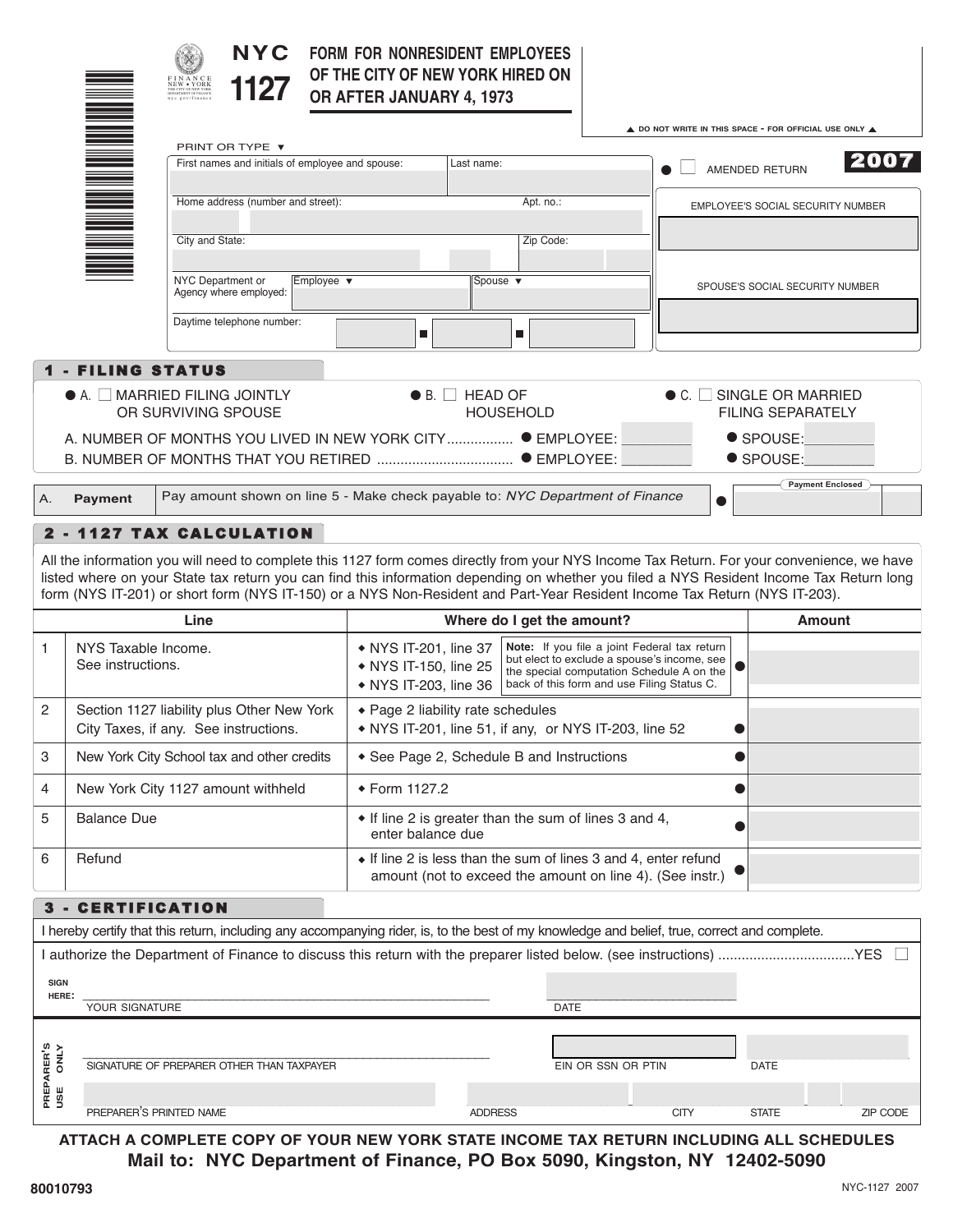|                                                           |                                                  | <b>NYC</b><br>$\begin{array}{l} \text{F IN A N C E}\\ \text{NEW} \bullet \text{ YORK}\\ \text{THE CITY OF NEW VORE}\\ \end{array}$<br>1127                                                                                                                                                                                                                                                                          | FORM FOR NONRESIDENT EMPLOYEES<br>OF THE CITY OF NEW YORK HIRED ON<br>OR AFTER JANUARY 4, 1973 |                                                                                                                                                                                                                                                                   |                    |                                                                                  |                                                                   |                         |
|-----------------------------------------------------------|--------------------------------------------------|---------------------------------------------------------------------------------------------------------------------------------------------------------------------------------------------------------------------------------------------------------------------------------------------------------------------------------------------------------------------------------------------------------------------|------------------------------------------------------------------------------------------------|-------------------------------------------------------------------------------------------------------------------------------------------------------------------------------------------------------------------------------------------------------------------|--------------------|----------------------------------------------------------------------------------|-------------------------------------------------------------------|-------------------------|
|                                                           |                                                  | PRINT OR TYPE ▼<br>First names and initials of employee and spouse:                                                                                                                                                                                                                                                                                                                                                 | Last name:                                                                                     |                                                                                                                                                                                                                                                                   |                    | A DO NOT WRITE IN THIS SPACE - FOR OFFICIAL USE ONLY A<br>2007<br>AMENDED RETURN |                                                                   |                         |
|                                                           | <u>Mana</u><br>Home address (number and street): |                                                                                                                                                                                                                                                                                                                                                                                                                     | Apt. no.:                                                                                      |                                                                                                                                                                                                                                                                   |                    | EMPLOYEE'S SOCIAL SECURITY NUMBER                                                |                                                                   |                         |
|                                                           |                                                  | City and State:                                                                                                                                                                                                                                                                                                                                                                                                     |                                                                                                | Zip Code:                                                                                                                                                                                                                                                         |                    |                                                                                  |                                                                   |                         |
|                                                           |                                                  | NYC Department or<br>Employee ▼<br>Agency where employed:                                                                                                                                                                                                                                                                                                                                                           |                                                                                                | Spouse $\blacktriangledown$                                                                                                                                                                                                                                       |                    |                                                                                  | SPOUSE'S SOCIAL SECURITY NUMBER                                   |                         |
|                                                           |                                                  | Daytime telephone number:                                                                                                                                                                                                                                                                                                                                                                                           | $\blacksquare$                                                                                 | $\blacksquare$                                                                                                                                                                                                                                                    |                    |                                                                                  |                                                                   |                         |
|                                                           | <b>1 - FILING STATUS</b>                         |                                                                                                                                                                                                                                                                                                                                                                                                                     |                                                                                                |                                                                                                                                                                                                                                                                   |                    |                                                                                  |                                                                   |                         |
|                                                           |                                                  | $\bullet$ A. $\Box$ MARRIED FILING JOINTLY<br>OR SURVIVING SPOUSE                                                                                                                                                                                                                                                                                                                                                   | $\bullet$ B. $\vert$ $\vert$                                                                   | <b>HEAD OF</b><br><b>HOUSEHOLD</b>                                                                                                                                                                                                                                |                    |                                                                                  | $\bullet$ C. $\Box$ SINGLE OR MARRIED<br><b>FILING SEPARATELY</b> |                         |
| A. NUMBER OF MONTHS YOU LIVED IN NEW YORK CITY CHAPLOYEE: |                                                  |                                                                                                                                                                                                                                                                                                                                                                                                                     |                                                                                                |                                                                                                                                                                                                                                                                   |                    | ● SPOUSE:<br>● SPOUSE:                                                           |                                                                   |                         |
| Α.                                                        | <b>Payment</b>                                   | Pay amount shown on line 5 - Make check payable to: NYC Department of Finance                                                                                                                                                                                                                                                                                                                                       |                                                                                                |                                                                                                                                                                                                                                                                   |                    |                                                                                  |                                                                   | <b>Payment Enclosed</b> |
|                                                           |                                                  | 2 - 1127 TAX CALCULATION                                                                                                                                                                                                                                                                                                                                                                                            |                                                                                                |                                                                                                                                                                                                                                                                   |                    |                                                                                  |                                                                   |                         |
|                                                           |                                                  | All the information you will need to complete this 1127 form comes directly from your NYS Income Tax Return. For your convenience, we have<br>listed where on your State tax return you can find this information depending on whether you filed a NYS Resident Income Tax Return long<br>form (NYS IT-201) or short form (NYS IT-150) or a NYS Non-Resident and Part-Year Resident Income Tax Return (NYS IT-203). |                                                                                                |                                                                                                                                                                                                                                                                   |                    |                                                                                  |                                                                   |                         |
|                                                           |                                                  | Line                                                                                                                                                                                                                                                                                                                                                                                                                | Where do I get the amount?                                                                     |                                                                                                                                                                                                                                                                   |                    |                                                                                  |                                                                   | <b>Amount</b>           |
| 1.                                                        |                                                  | NYS Taxable Income.<br>See instructions.                                                                                                                                                                                                                                                                                                                                                                            |                                                                                                | Note: If you file a joint Federal tax return<br>• NYS IT-201, line 37<br>but elect to exclude a spouse's income, see<br>• NYS IT-150, line 25<br>the special computation Schedule A on the<br>back of this form and use Filing Status C.<br>• NYS IT-203, line 36 |                    |                                                                                  |                                                                   |                         |
| 2                                                         |                                                  | Section 1127 liability plus Other New York<br>City Taxes, if any. See instructions.                                                                                                                                                                                                                                                                                                                                 | ◆ Page 2 liability rate schedules<br>• NYS IT-201, line 51, if any, or NYS IT-203, line 52     |                                                                                                                                                                                                                                                                   |                    |                                                                                  |                                                                   |                         |
| 3                                                         |                                                  | New York City School tax and other credits                                                                                                                                                                                                                                                                                                                                                                          | • See Page 2, Schedule B and Instructions                                                      |                                                                                                                                                                                                                                                                   |                    |                                                                                  |                                                                   |                         |
| 4                                                         |                                                  | New York City 1127 amount withheld                                                                                                                                                                                                                                                                                                                                                                                  | ◆ Form 1127.2                                                                                  |                                                                                                                                                                                                                                                                   |                    |                                                                                  |                                                                   |                         |
| 5                                                         | <b>Balance Due</b>                               |                                                                                                                                                                                                                                                                                                                                                                                                                     | • If line 2 is greater than the sum of lines 3 and 4,<br>enter balance due                     |                                                                                                                                                                                                                                                                   |                    |                                                                                  |                                                                   |                         |
| 6                                                         | Refund                                           | • If line 2 is less than the sum of lines 3 and 4, enter refund<br>amount (not to exceed the amount on line 4). (See instr.)                                                                                                                                                                                                                                                                                        |                                                                                                |                                                                                                                                                                                                                                                                   |                    |                                                                                  |                                                                   |                         |
| 3 -                                                       | <b>CERTIFICATION</b>                             |                                                                                                                                                                                                                                                                                                                                                                                                                     |                                                                                                |                                                                                                                                                                                                                                                                   |                    |                                                                                  |                                                                   |                         |
|                                                           |                                                  | I hereby certify that this return, including any accompanying rider, is, to the best of my knowledge and belief, true, correct and complete.                                                                                                                                                                                                                                                                        |                                                                                                |                                                                                                                                                                                                                                                                   |                    |                                                                                  |                                                                   |                         |
|                                                           |                                                  |                                                                                                                                                                                                                                                                                                                                                                                                                     |                                                                                                |                                                                                                                                                                                                                                                                   |                    |                                                                                  |                                                                   |                         |
| <b>SIGN</b><br>HERE:                                      |                                                  |                                                                                                                                                                                                                                                                                                                                                                                                                     |                                                                                                |                                                                                                                                                                                                                                                                   |                    |                                                                                  |                                                                   |                         |
|                                                           | YOUR SIGNATURE                                   |                                                                                                                                                                                                                                                                                                                                                                                                                     |                                                                                                | <b>DATE</b>                                                                                                                                                                                                                                                       |                    |                                                                                  |                                                                   |                         |
|                                                           |                                                  |                                                                                                                                                                                                                                                                                                                                                                                                                     |                                                                                                |                                                                                                                                                                                                                                                                   |                    |                                                                                  |                                                                   |                         |
|                                                           |                                                  | SIGNATURE OF PREPARER OTHER THAN TAXPAYER                                                                                                                                                                                                                                                                                                                                                                           |                                                                                                |                                                                                                                                                                                                                                                                   | EIN OR SSN OR PTIN |                                                                                  | <b>DATE</b>                                                       |                         |
| PREPARER'S<br>USE ONLY                                    |                                                  |                                                                                                                                                                                                                                                                                                                                                                                                                     |                                                                                                |                                                                                                                                                                                                                                                                   |                    |                                                                                  |                                                                   |                         |
|                                                           |                                                  | PREPARER'S PRINTED NAME                                                                                                                                                                                                                                                                                                                                                                                             |                                                                                                | <b>ADDRESS</b>                                                                                                                                                                                                                                                    |                    | <b>CITY</b>                                                                      | <b>STATE</b>                                                      | ZIP CODE                |

**ATTACH A COMPLETE COPY OF YOUR NEW YORK STATE INCOME TAX RETURN INCLUDING ALL SCHEDULES Mail to: NYC Department of Finance, PO Box 5090, Kingston, NY 12402-5090**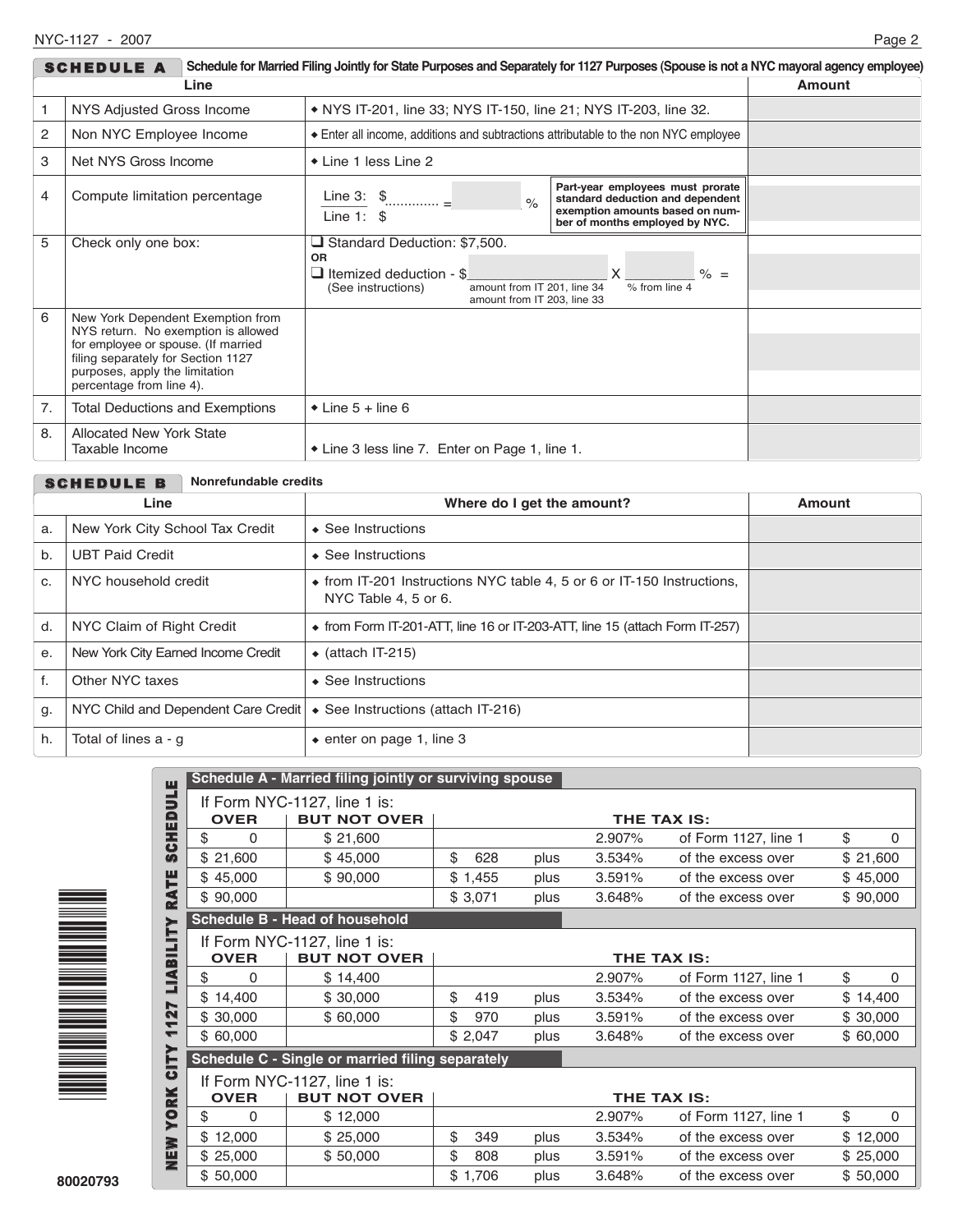| Schedule for Married Filing Jointly for State Purposes and Separately for 1127 Purposes (Spouse is not a NYC mayoral agency employee)<br><b>SCHEDULE A</b> |                                                                                                                                                                                                                     |                                                                                                                                                                                                          |  |  |  |  |
|------------------------------------------------------------------------------------------------------------------------------------------------------------|---------------------------------------------------------------------------------------------------------------------------------------------------------------------------------------------------------------------|----------------------------------------------------------------------------------------------------------------------------------------------------------------------------------------------------------|--|--|--|--|
|                                                                                                                                                            | Line                                                                                                                                                                                                                | Amount                                                                                                                                                                                                   |  |  |  |  |
| 1                                                                                                                                                          | NYS Adjusted Gross Income                                                                                                                                                                                           | • NYS IT-201, line 33; NYS IT-150, line 21; NYS IT-203, line 32.                                                                                                                                         |  |  |  |  |
| 2                                                                                                                                                          | Non NYC Employee Income                                                                                                                                                                                             | Enter all income, additions and subtractions attributable to the non NYC employee                                                                                                                        |  |  |  |  |
| 3                                                                                                                                                          | Net NYS Gross Income                                                                                                                                                                                                | ◆ Line 1 less Line 2                                                                                                                                                                                     |  |  |  |  |
| 4                                                                                                                                                          | Compute limitation percentage                                                                                                                                                                                       | Part-year employees must prorate<br>Line 3: $\frac{6}{11}$<br>standard deduction and dependent<br>$\frac{1}{2}$<br>exemption amounts based on num-<br>Line 1: $$$<br>ber of months employed by NYC.      |  |  |  |  |
| 5<br>Check only one box:                                                                                                                                   |                                                                                                                                                                                                                     | □ Standard Deduction: \$7,500.<br><b>OR</b><br>$\times$<br>$\Box$ Itemized deduction - \$<br>$\% =$<br>% from line 4<br>amount from IT 201, line 34<br>(See instructions)<br>amount from IT 203. line 33 |  |  |  |  |
| 6                                                                                                                                                          | New York Dependent Exemption from<br>NYS return. No exemption is allowed<br>for employee or spouse. (If married<br>filing separately for Section 1127<br>purposes, apply the limitation<br>percentage from line 4). |                                                                                                                                                                                                          |  |  |  |  |
| 7.                                                                                                                                                         | <b>Total Deductions and Exemptions</b>                                                                                                                                                                              | $\bullet$ Line 5 + line 6                                                                                                                                                                                |  |  |  |  |
| 8.                                                                                                                                                         | <b>Allocated New York State</b><br>Taxable Income                                                                                                                                                                   | • Line 3 less line 7. Enter on Page 1, line 1.                                                                                                                                                           |  |  |  |  |

|       | Nonrefundable credits<br><b>SCHEDULE B</b>                                     |                                                                                                |               |  |  |  |
|-------|--------------------------------------------------------------------------------|------------------------------------------------------------------------------------------------|---------------|--|--|--|
|       | Line                                                                           | Where do I get the amount?                                                                     | <b>Amount</b> |  |  |  |
| a.    | New York City School Tax Credit                                                | $\triangle$ See Instructions                                                                   |               |  |  |  |
| $b$ . | <b>UBT Paid Credit</b>                                                         | $\triangle$ See Instructions                                                                   |               |  |  |  |
| C.    | NYC household credit                                                           | • from IT-201 Instructions NYC table 4, 5 or 6 or IT-150 Instructions,<br>NYC Table 4, 5 or 6. |               |  |  |  |
| d.    | NYC Claim of Right Credit                                                      | $\bullet$ from Form IT-201-ATT, line 16 or IT-203-ATT, line 15 (attach Form IT-257)            |               |  |  |  |
| е.    | New York City Earned Income Credit                                             | $\bullet$ (attach IT-215)                                                                      |               |  |  |  |
| f.    | Other NYC taxes                                                                | $\triangle$ See Instructions                                                                   |               |  |  |  |
| g.    | NYC Child and Dependent Care Credit $\bullet$ See Instructions (attach IT-216) |                                                                                                |               |  |  |  |
| h.    | Total of lines a - q                                                           | $\bullet$ enter on page 1, line 3                                                              |               |  |  |  |



| ш            |                                                                    | Schedule A - Married filing jointly or surviving spouse |             |      |        |                      |                |
|--------------|--------------------------------------------------------------------|---------------------------------------------------------|-------------|------|--------|----------------------|----------------|
| 5            | <b>OVER</b>                                                        | If Form NYC-1127, line 1 is:<br><b>BUT NOT OVER</b>     | THE TAX IS: |      |        |                      |                |
| <b>SCHED</b> | \$<br>0                                                            | \$21,600                                                |             |      | 2.907% | of Form 1127, line 1 | \$<br>0        |
|              | \$21,600                                                           | \$45,000                                                | \$<br>628   | plus | 3.534% | of the excess over   | \$21,600       |
| ٣            | \$45,000                                                           | \$90,000                                                | \$1,455     | plus | 3.591% | of the excess over   | \$45,000       |
| RA           | \$90,000                                                           |                                                         | \$3,071     | plus | 3.648% | of the excess over   | \$90,000       |
|              |                                                                    | <b>Schedule B - Head of household</b>                   |             |      |        |                      |                |
| LIABILITY    | If Form NYC-1127, line 1 is:<br><b>OVER</b><br><b>BUT NOT OVER</b> |                                                         | THE TAX IS: |      |        |                      |                |
|              | \$<br>0                                                            | \$14,400                                                |             |      | 2.907% | of Form 1127, line 1 | \$<br>0        |
|              | 14,400                                                             | \$30,000                                                | \$<br>419   | plus | 3.534% | of the excess over   | \$14,400       |
| 27<br>↽      | \$30,000                                                           | \$60,000                                                | \$<br>970   | plus | 3.591% | of the excess over   | \$30,000       |
| ┯            | \$60,000                                                           |                                                         | \$2,047     | plus | 3.648% | of the excess over   | \$60,000       |
| <b>CITY</b>  | Schedule C - Single or married filing separately                   |                                                         |             |      |        |                      |                |
|              | If Form NYC-1127, line 1 is:<br><b>OVER</b><br><b>BUT NOT OVER</b> |                                                         | THE TAX IS: |      |        |                      |                |
| <b>YORK</b>  | \$<br>0                                                            | \$12,000                                                |             |      | 2.907% | of Form 1127, line 1 | \$<br>$\Omega$ |
|              | \$12,000                                                           | \$25,000                                                | \$<br>349   | plus | 3.534% | of the excess over   | \$12,000       |
| NEW<br>New   | \$25,000                                                           | \$50,000                                                | \$<br>808   | plus | 3.591% | of the excess over   | \$25,000       |
|              | \$50,000                                                           |                                                         | \$1,706     | plus | 3.648% | of the excess over   | \$50,000       |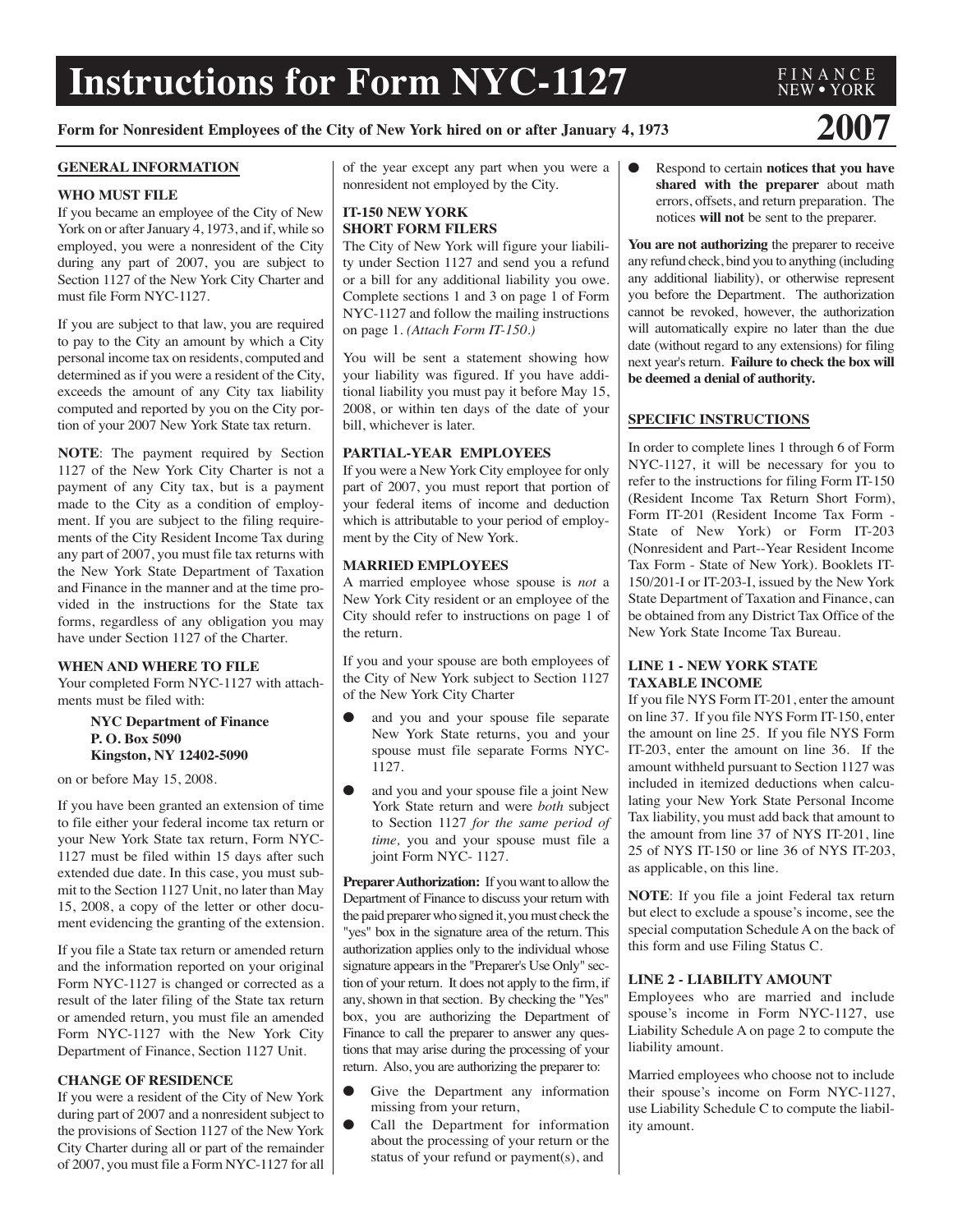# **Instructions for Form NYC-1127**

# **Form for Nonresident Employees of the City of New York hired on or after January 4, <sup>1973</sup> 2007**

#### **GENERAL INFORMATION**

#### **WHO MUST FILE**

If you became an employee of the City of New York on or after January 4, 1973, and if, while so employed, you were a nonresident of the City during any part of 2007, you are subject to Section 1127 of the New York City Charter and must file Form NYC-1127.

If you are subject to that law, you are required to pay to the City an amount by which a City personal income tax on residents, computed and determined as if you were a resident of the City, exceeds the amount of any City tax liability computed and reported by you on the City portion of your 2007 New York State tax return.

**NOTE**: The payment required by Section 1127 of the New York City Charter is not a payment of any City tax, but is a payment made to the City as a condition of employment. If you are subject to the filing requirements of the City Resident Income Tax during any part of 2007, you must file tax returns with the New York State Department of Taxation and Finance in the manner and at the time provided in the instructions for the State tax forms, regardless of any obligation you may have under Section 1127 of the Charter.

# **WHEN AND WHERE TO FILE**

Your completed Form NYC-1127 with attachments must be filed with:

#### **NYC Department of Finance P. O. Box 5090 Kingston, NY 12402-5090**

on or before May 15, 2008.

If you have been granted an extension of time to file either your federal income tax return or your New York State tax return, Form NYC-1127 must be filed within 15 days after such extended due date. In this case, you must submit to the Section 1127 Unit, no later than May 15, 2008, a copy of the letter or other document evidencing the granting of the extension.

If you file a State tax return or amended return and the information reported on your original Form NYC-1127 is changed or corrected as a result of the later filing of the State tax return or amended return, you must file an amended Form NYC-1127 with the New York City Department of Finance, Section 1127 Unit.

# **CHANGE OF RESIDENCE**

If you were a resident of the City of New York during part of 2007 and a nonresident subject to the provisions of Section 1127 of the New York City Charter during all or part of the remainder of 2007, you must file a Form NYC-1127 for all of the year except any part when you were a nonresident not employed by the City.

# **IT-150 NEW YORK SHORT FORM FILERS**

The City of New York will figure your liability under Section 1127 and send you a refund or a bill for any additional liability you owe. Complete sections 1 and 3 on page 1 of Form NYC-1127 and follow the mailing instructions on page 1. *(Attach Form IT-150.)*

You will be sent a statement showing how your liability was figured. If you have additional liability you must pay it before May 15, 2008, or within ten days of the date of your bill, whichever is later.

# **PARTIAL-YEAR EMPLOYEES**

If you were a New York City employee for only part of 2007, you must report that portion of your federal items of income and deduction which is attributable to your period of employment by the City of New York.

# **MARRIED EMPLOYEES**

A married employee whose spouse is *not* a New York City resident or an employee of the City should refer to instructions on page 1 of the return.

If you and your spouse are both employees of the City of New York subject to Section 1127 of the New York City Charter

- and you and your spouse file separate New York State returns, you and your spouse must file separate Forms NYC-1127.
- and you and your spouse file a joint New York State return and were *both* subject to Section 1127 *for the same period of time,* you and your spouse must file a joint Form NYC- 1127.

Preparer Authorization: If you want to allow the Department of Finance to discuss your return with the paid preparerwho signed it, youmust check the "yes" box in the signature area of the return. This authorization applies only to the individual whose signature appears in the "Preparer's Use Only" section of your return. It does not apply to the firm, if any, shown in that section. By checking the "Yes" box, you are authorizing the Department of Finance to call the preparer to answer any questions that may arise during the processing of your return. Also, you are authorizing the preparer to:

- Give the Department any information missing from your return,
- Call the Department for information about the processing of your return or the status of your refund or payment(s), and

● Respond to certain **notices that you have shared with the preparer** about math errors, offsets, and return preparation. The notices **will not** be sent to the preparer.

**You are not authorizing** the preparer to receive any refund check, bind you to anything (including any additional liability), or otherwise represent you before the Department. The authorization cannot be revoked, however, the authorization will automatically expire no later than the due date (without regard to any extensions) for filing next year's return. **Failure to check the box will be deemed a denial of authority.**

# **SPECIFIC INSTRUCTIONS**

In order to complete lines 1 through 6 of Form NYC-1127, it will be necessary for you to refer to the instructions for filing Form IT-150 (Resident Income Tax Return Short Form), Form IT-201 (Resident Income Tax Form - State of New York) or Form IT-203 (Nonresident and Part--Year Resident Income Tax Form - State of New York). Booklets IT-150/201-I or IT-203-I, issued by the New York State Department of Taxation and Finance, can be obtained from any District Tax Office of the New York State Income Tax Bureau.

# **LINE 1 - NEW YORK STATE TAXABLE INCOME**

If you file NYS Form IT-201, enter the amount on line 37. If you file NYS Form IT-150, enter the amount on line 25. If you file NYS Form IT-203, enter the amount on line 36. If the amount withheld pursuant to Section 1127 was included in itemized deductions when calculating your New York State Personal Income Tax liability, you must add back that amount to the amount from line 37 of NYS IT-201, line 25 of NYS IT-150 or line 36 of NYS IT-203, as applicable, on this line.

**NOTE**: If you file a joint Federal tax return but elect to exclude a spouse's income, see the special computation Schedule A on the back of this form and use Filing Status C.

# **LINE 2 - LIABILITY AMOUNT**

Employees who are married and include spouse's income in Form NYC-1127, use Liability Schedule A on page 2 to compute the liability amount.

Married employees who choose not to include their spouse's income on Form NYC-1127, use Liability Schedule C to compute the liability amount.

# NEW ● YORK

F I N A N C E